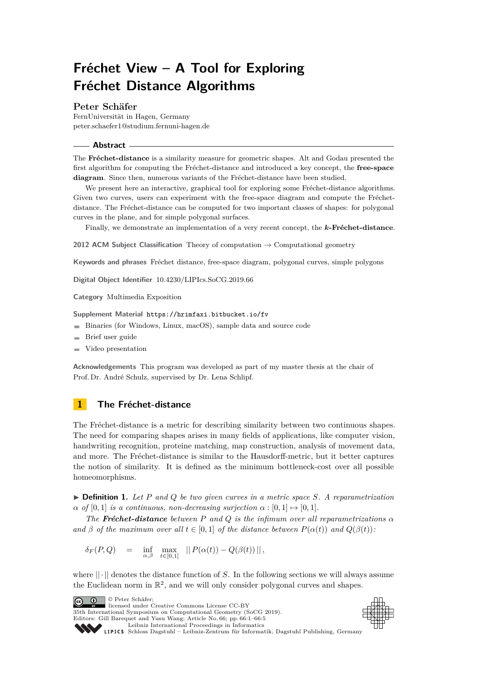# **Fréchet View – A Tool for Exploring Fréchet Distance Algorithms**

#### **Peter Schäfer**

FernUniversität in Hagen, Germany [peter.schaefer1@studium.fernuni-hagen.de](mailto:peter.schaefer1@studium.fernuni-hagen.de)

#### **Abstract**

The **Fréchet-distance** is a similarity measure for geometric shapes. Alt and Godau presented the first algorithm for computing the Fréchet-distance and introduced a key concept, the **free-space diagram**. Since then, numerous variants of the Fréchet-distance have been studied.

We present here an interactive, graphical tool for exploring some Fréchet-distance algorithms. Given two curves, users can experiment with the free-space diagram and compute the Fréchetdistance. The Fréchet-distance can be computed for two important classes of shapes: for polygonal curves in the plane, and for simple polygonal surfaces.

Finally, we demonstrate an implementation of a very recent concept, the *k***-Fréchet-distance**.

**2012 ACM Subject Classification** Theory of computation → Computational geometry

**Keywords and phrases** Fréchet distance, free-space diagram, polygonal curves, simple polygons

**Digital Object Identifier** [10.4230/LIPIcs.SoCG.2019.66](https://doi.org/10.4230/LIPIcs.SoCG.2019.66)

**Category** Multimedia Exposition

**Supplement Material** <https://hrimfaxi.bitbucket.io/fv>

- Binaries (for Windows, Linux, macOS), sample data and source code
- $\blacksquare$ Brief user guide
- Video presentation  $\blacksquare$

**Acknowledgements** This program was developed as part of my master thesis at the chair of Prof. Dr. André Schulz, supervised by Dr. Lena Schlipf.

## **1 The Fréchet-distance**

The Fréchet-distance is a metric for describing similarity between two continuous shapes. The need for comparing shapes arises in many fields of applications, like computer vision, handwriting recognition, proteine matching, map construction, analysis of movement data, and more. The Fréchet-distance is similar to the Hausdorff-metric, but it better captures the notion of similarity. It is defined as the minimum bottleneck-cost over all possible homeomorphisms.

 $\triangleright$  **Definition 1.** Let P and Q be two given curves in a metric space S. A reparametrization  $\alpha$  *of* [0, 1] *is a continuous, non-decreasing surjection*  $\alpha$  : [0, 1]  $\mapsto$  [0, 1]*.* 

*The Fréchet-distance between P and Q is the infimum over all reparametrizations α and*  $\beta$  *of the maximum over all*  $t \in [0, 1]$  *of the distance between*  $P(\alpha(t))$  *and*  $Q(\beta(t))$ *:* 

$$
\delta_F(P,Q) \quad = \quad \inf_{\alpha,\beta} \quad \max_{t\in [0,1]} \quad ||\, P(\alpha(t))-Q(\beta(t))\,||\,,
$$

where  $\|\cdot\|$  denotes the distance function of *S*. In the following sections we will always assume the Euclidean norm in  $\mathbb{R}^2$ , and we will only consider polygonal curves and shapes.

© Peter Schäfer;  $\boxed{6}$  0

licensed under Creative Commons License CC-BY 35th International Symposium on Computational Geometry (SoCG 2019).

Editors: Gill Barequet and Yusu Wang; Article No. 66; pp. 66:1–66[:5](#page-4-0) [Leibniz International Proceedings in Informatics](https://www.dagstuhl.de/lipics/)



SCHLOSS Dagstuhl – Leibniz-Zentrum für Informatik, Dagstuhl Publishing, Germany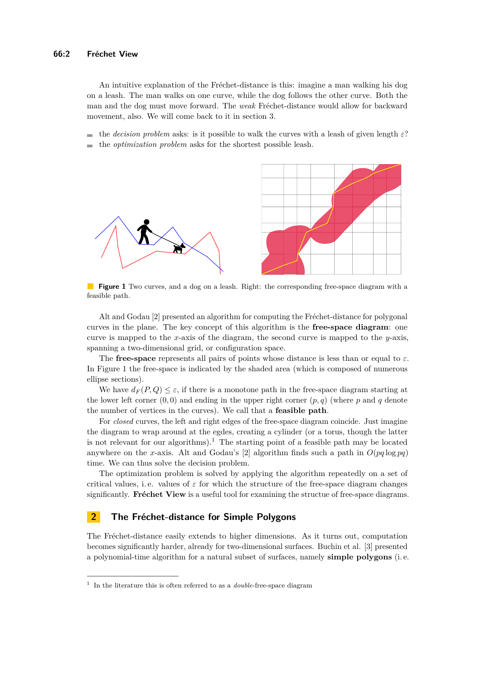An intuitive explanation of the Fréchet-distance is this: imagine a man walking his dog on a leash. The man walks on one curve, while the dog follows the other curve. Both the man and the dog must move forward. The *weak* Fréchet-distance would allow for backward movement, also. We will come back to it in section [3.](#page-2-0)

the *decision problem* asks: is it possible to walk the curves with a leash of given length *ε*? the *optimization problem* asks for the shortest possible leash.

<span id="page-1-0"></span>

**Figure 1** Two curves, and a dog on a leash. Right: the corresponding free-space diagram with a feasible path.

Alt and Godau [\[2\]](#page-3-0) presented an algorithm for computing the Fréchet-distance for polygonal curves in the plane. The key concept of this algorithm is the **free-space diagram**: one curve is mapped to the *x*-axis of the diagram, the second curve is mapped to the *y*-axis, spanning a two-dimensional grid, or configuration space.

The **free-space** represents all pairs of points whose distance is less than or equal to *ε*. In Figure [1](#page-1-0) the free-space is indicated by the shaded area (which is composed of numerous ellipse sections).

We have  $d_F(P,Q) \leq \varepsilon$ , if there is a monotone path in the free-space diagram starting at the lower left corner  $(0, 0)$  and ending in the upper right corner  $(p, q)$  (where p and q denote the number of vertices in the curves). We call that a **feasible path**.

For *closed* curves, the left and right edges of the free-space diagram coincide. Just imagine the diagram to wrap around at the egdes, creating a cylinder (or a torus, though the latter is not relevant for our algorithms).<sup>[1](#page-1-1)</sup> The starting point of a feasible path may be located anywhere on the *x*-axis. Alt and Godau's [\[2\]](#page-3-0) algorithm finds such a path in  $O(pq \log pq)$ time. We can thus solve the decision problem.

The optimization problem is solved by applying the algorithm repeatedly on a set of critical values, i.e. values of  $\varepsilon$  for which the structure of the free-space diagram changes significantly. **Fréchet View** is a useful tool for examining the structue of free-space diagrams.

## **2 The Fréchet-distance for Simple Polygons**

The Fréchet-distance easily extends to higher dimensions. As it turns out, computation becomes significantly harder, already for two-dimensional surfaces. Buchin et al. [\[3\]](#page-4-1) presented a polynomial-time algorithm for a natural subset of surfaces, namely **simple polygons** (i. e.

<span id="page-1-1"></span><sup>1</sup> In the literature this is often referred to as a *double*-free-space diagram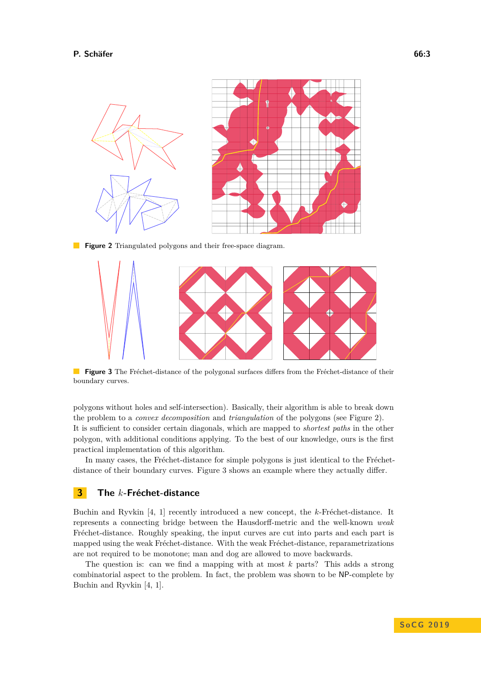<span id="page-2-1"></span>

<span id="page-2-2"></span>**Figure 3** The Fréchet-distance of the polygonal surfaces differs from the Fréchet-distance of their boundary curves.

polygons without holes and self-intersection). Basically, their algorithm is able to break down the problem to a *convex decomposition* and *triangulation* of the polygons (see Figure [2\)](#page-2-1). It is sufficient to consider certain diagonals, which are mapped to *shortest paths* in the other polygon, with additional conditions applying. To the best of our knowledge, ours is the first practical implementation of this algorithm.

In many cases, the Fréchet-distance for simple polygons is just identical to the Fréchetdistance of their boundary curves. Figure [3](#page-2-2) shows an example where they actually differ.

## <span id="page-2-0"></span>**3 The** *k***-Fréchet-distance**

Buchin and Ryvkin [\[4,](#page-4-2) [1\]](#page-3-1) recently introduced a new concept, the *k*-Fréchet-distance. It represents a connecting bridge between the Hausdorff-metric and the well-known *weak* Fréchet-distance. Roughly speaking, the input curves are cut into parts and each part is mapped using the weak Fréchet-distance. With the weak Fréchet-distance, reparametrizations are not required to be monotone; man and dog are allowed to move backwards.

The question is: can we find a mapping with at most *k* parts? This adds a strong combinatorial aspect to the problem. In fact, the problem was shown to be NP-complete by Buchin and Ryvkin [\[4,](#page-4-2) [1\]](#page-3-1).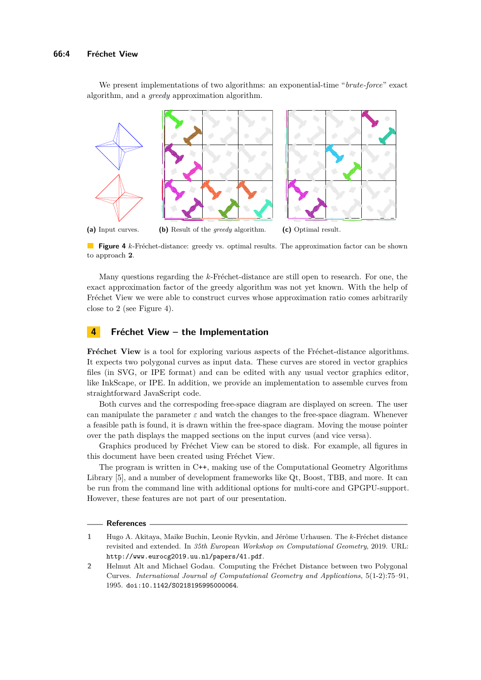We present implementations of two algorithms: an exponential-time "*brute-force*" exact algorithm, and a *greedy* approximation algorithm.

<span id="page-3-2"></span>

**Figure 4** *k*-Fréchet-distance: greedy vs. optimal results. The approximation factor can be shown to approach **2**.

Many questions regarding the *k*-Fréchet-distance are still open to research. For one, the exact approximation factor of the greedy algorithm was not yet known. With the help of Fréchet View we were able to construct curves whose approximation ratio comes arbitrarily close to 2 (see Figure [4\)](#page-3-2).

### **4 Fréchet View – the Implementation**

**Fréchet View** is a tool for exploring various aspects of the Fréchet-distance algorithms. It expects two polygonal curves as input data. These curves are stored in vector graphics files (in SVG, or IPE format) and can be edited with any usual vector graphics editor, like InkScape, or IPE. In addition, we provide an implementation to assemble curves from straightforward JavaScript code.

Both curves and the correspoding free-space diagram are displayed on screen. The user can manipulate the parameter  $\varepsilon$  and watch the changes to the free-space diagram. Whenever a feasible path is found, it is drawn within the free-space diagram. Moving the mouse pointer over the path displays the mapped sections on the input curves (and vice versa).

Graphics produced by Fréchet View can be stored to disk. For example, all figures in this document have been created using Fréchet View.

The program is written in C++, making use of the Computational Geometry Algorithms Library [\[5\]](#page-4-3), and a number of development frameworks like Qt, Boost, TBB, and more. It can be run from the command line with additional options for multi-core and GPGPU-support. However, these features are not part of our presentation.

#### **References**

- <span id="page-3-1"></span>**1** Hugo A. Akitaya, Maike Buchin, Leonie Ryvkin, and Jérôme Urhausen. The *k*-Fréchet distance revisited and extended. In *35th European Workshop on Computational Geometry*, 2019. URL: <http://www.eurocg2019.uu.nl/papers/41.pdf>.
- <span id="page-3-0"></span>**2** Helmut Alt and Michael Godau. Computing the Fréchet Distance between two Polygonal Curves. *International Journal of Computational Geometry and Applications*, 5(1-2):75–91, 1995. [doi:10.1142/S0218195995000064](http://dx.doi.org/10.1142/S0218195995000064).